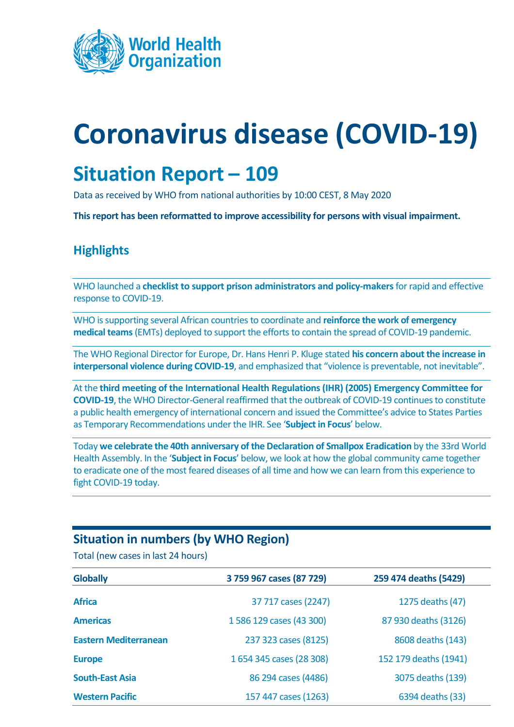

# **Coronavirus disease (COVID-19)**

# **Situation Report – 109**

Data as received by WHO from national authorities by 10:00 CEST, 8 May 2020

**This report has been reformatted to improve accessibility for persons with visual impairment.**

# **Highlights**

WHO launched a **[checklist to support prison administrators and policy-makers](http://www.euro.who.int/en/health-topics/health-determinants/prisons-and-health/news/news/2020/5/who-launches-checklist-to-support-prison-administrators-and-policy-makers-for-rapid-and-effective-response-to-covid-19)**for rapid and effective response to COVID-19.

WHO is supporting several African countries to coordinate and **[reinforce the work of emergency](https://www.afro.who.int/news/reinforcing-emergency-response-against-covid-19-africa)  [medical teams](https://www.afro.who.int/news/reinforcing-emergency-response-against-covid-19-africa)**(EMTs) deployed to support the efforts to contain the spread of COVID-19 pandemic.

The WHO Regional Director for Europe, Dr. Hans Henri P. Kluge stated **[his concern about the increase in](http://www.euro.who.int/en/about-us/regional-director/statements/statement-during-covid-19-pandemic,-violence-remains-preventable,-not-inevitable)  [interpersonal violence during COVID-19](http://www.euro.who.int/en/about-us/regional-director/statements/statement-during-covid-19-pandemic,-violence-remains-preventable,-not-inevitable)**, and emphasized that "violence is preventable, not inevitable".

At the **third [meeting of the International Health Regulations \(IHR\) \(2005\) Emergency Committee for](https://www.who.int/news-room/detail/01-05-2020-statement-on-the-third-meeting-of-the-international-health-regulations-(2005)-emergency-committee-regarding-the-outbreak-of-coronavirus-disease-(covid-19))  [COVID-19](https://www.who.int/news-room/detail/01-05-2020-statement-on-the-third-meeting-of-the-international-health-regulations-(2005)-emergency-committee-regarding-the-outbreak-of-coronavirus-disease-(covid-19))**, the WHO Director-General reaffirmed that the outbreak of COVID-19 continues to constitute a public health emergency of international concern and issued the Committee's advice to States Parties as Temporary Recommendations under the IHR. See '**[Subject in Focus](#page-0-0)**' below.

Today **[we celebrate the 40th anniversary of the Declaration of Smallpox Eradication](https://www.who.int/news-room/events/detail/2020/05/08/default-calendar/commemorating-the-40th-anniversary-of-smallpox-eradication)** by the 33rd World Health Assembly. In the '**[Subject in Focus](#page-1-0)**' below, we look at how the global community came together to eradicate one of the most feared diseases of all time and how we can learn from this experience to fight COVID-19 today.

### **Situation in numbers (by WHO Region)**

Total (new cases in last 24 hours)

<span id="page-0-0"></span>

| <b>Globally</b>              | 3 759 967 cases (87 729) | 259 474 deaths (5429) |
|------------------------------|--------------------------|-----------------------|
| <b>Africa</b>                | 37 717 cases (2247)      | 1275 deaths (47)      |
| <b>Americas</b>              | 1586 129 cases (43 300)  | 87 930 deaths (3126)  |
| <b>Eastern Mediterranean</b> | 237 323 cases (8125)     | 8608 deaths (143)     |
| <b>Europe</b>                | 1654 345 cases (28 308)  | 152 179 deaths (1941) |
| <b>South-East Asia</b>       | 86 294 cases (4486)      | 3075 deaths (139)     |
| <b>Western Pacific</b>       | 157 447 cases (1263)     | 6394 deaths (33)      |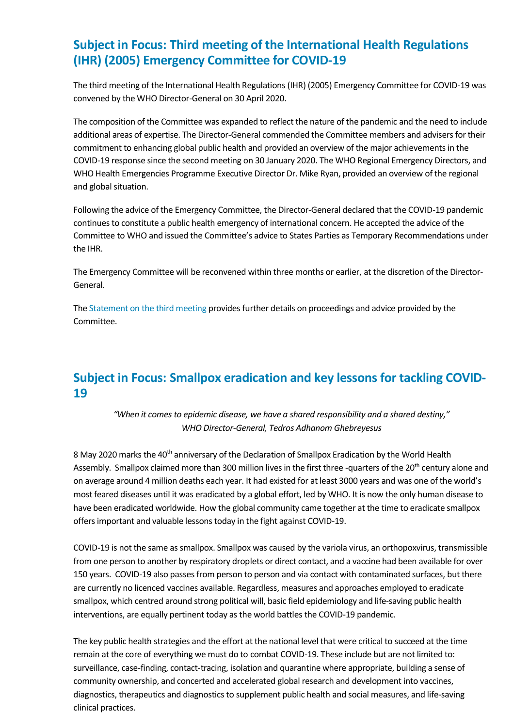# **Subject in Focus: Third meeting of the International Health Regulations (IHR) (2005) Emergency Committee for COVID-19**

The third meeting of the International Health Regulations (IHR) (2005) Emergency Committee for COVID-19 was convened by the WHO Director-General on 30 April 2020.

The composition of the Committee was expanded to reflect the nature of the pandemic and the need to include additional areas of expertise. The Director-General commended the Committee members and advisers for their commitment to enhancing global public health and provided an overview of the major achievements in the COVID-19 response since the second meeting on 30 January 2020. The WHO Regional Emergency Directors, and WHO Health Emergencies Programme Executive Director Dr. Mike Ryan, provided an overview of the regional and global situation.

Following the advice of the Emergency Committee, the Director-General declared that the COVID-19 pandemic continues to constitute a public health emergency of international concern. He accepted the advice of the Committee to WHO and issued the Committee's advice to States Parties as Temporary Recommendations under the IHR.

The Emergency Committee will be reconvened within three months or earlier, at the discretion of the Director-General.

Th[e Statement on the third meeting](https://www.who.int/news-room/detail/01-05-2020-statement-on-the-third-meeting-of-the-international-health-regulations-(2005)-emergency-committee-regarding-the-outbreak-of-coronavirus-disease-(covid-19)) provides further details on proceedings and advice provided by the Committee.

# <span id="page-1-0"></span>**Subject in Focus: Smallpox eradication and key lessons for tackling COVID-19**

*"When it comes to epidemic disease, we have a shared responsibility and a shared destiny," WHO Director-General, Tedros Adhanom Ghebreyesus*

8 May 2020 marks the 40<sup>th</sup> anniversary of the Declaration of Smallpox Eradication by the World Health Assembly. Smallpox claimed more than 300 million lives in the first three -quarters of the 20<sup>th</sup> century alone and on average around 4 million deaths each year. It had existed for at least 3000 years and was one of the world's most feared diseases until it was eradicated by a global effort, led by WHO. It is now the only human disease to have been eradicated worldwide. How the global community came together at the time to eradicate smallpox offers important and valuable lessons today in the fight against COVID-19.

COVID-19 is not the same as smallpox. Smallpox was caused by the variola virus, an orthopoxvirus, transmissible from one person to another by respiratory droplets or direct contact, and a vaccine had been available for over 150 years. COVID-19 also passes from person to person and via contact with contaminated surfaces, but there are currently no licenced vaccines available. Regardless, measures and approaches employed to eradicate smallpox, which centred around strong political will, basic field epidemiology and life-saving public health interventions, are equally pertinent today as the world battles the COVID-19 pandemic.

The key public health strategies and the effort at the national level that were critical to succeed at the time remain at the core of everything we must do to combat COVID-19. These include but are not limited to: surveillance, case-finding, contact-tracing, isolation and quarantine where appropriate, building a sense of community ownership, and concerted and accelerated global research and development into vaccines, diagnostics, therapeutics and diagnostics to supplement public health and social measures, and life-saving clinical practices.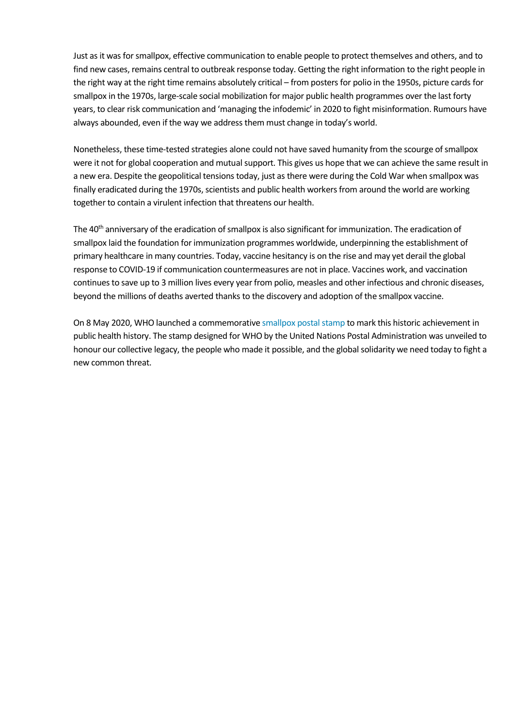Just as it was for smallpox, effective communication to enable people to protect themselves and others, and to find new cases, remains central to outbreak response today. Getting the right information to the right people in the right way at the right time remains absolutely critical – from posters for polio in the 1950s, picture cards for smallpox in the 1970s, large-scale social mobilization for major public health programmes over the last forty years, to clear risk communication and 'managing the infodemic' in 2020 to fight misinformation. Rumours have always abounded, even if the way we address them must change in today's world.

Nonetheless, these time-tested strategies alone could not have saved humanity from the scourge of smallpox were it not for global cooperation and mutual support. This gives us hope that we can achieve the same result in a new era. Despite the geopolitical tensions today, just as there were during the Cold War when smallpox was finally eradicated during the 1970s, scientists and public health workers from around the world are working together to contain a virulent infection that threatens our health.

The 40<sup>th</sup> anniversary of the eradication of smallpox is also significant for immunization. The eradication of smallpox laid the foundation for immunization programmes worldwide, underpinning the establishment of primary healthcare in many countries. Today, vaccine hesitancy is on the rise and may yet derail the global response to COVID-19 if communication countermeasures are not in place. Vaccines work, and vaccination continues to save up to 3 million lives every year from polio, measles and other infectious and chronic diseases, beyond the millions of deaths averted thanks to the discovery and adoption of the smallpox vaccine.

On 8 May 2020, WHO launched a commemorativ[e smallpox postal stamp](https://unstamps.org/shop/40th-anniv-of-eradication-of-smallpox-chf-170-ge-definitive-full-stamp-sheet/) to mark this historic achievement in public health history. The stamp designed for WHO by the United Nations Postal Administration was unveiled to honour our collective legacy, the people who made it possible, and the global solidarity we need today to fight a new common threat.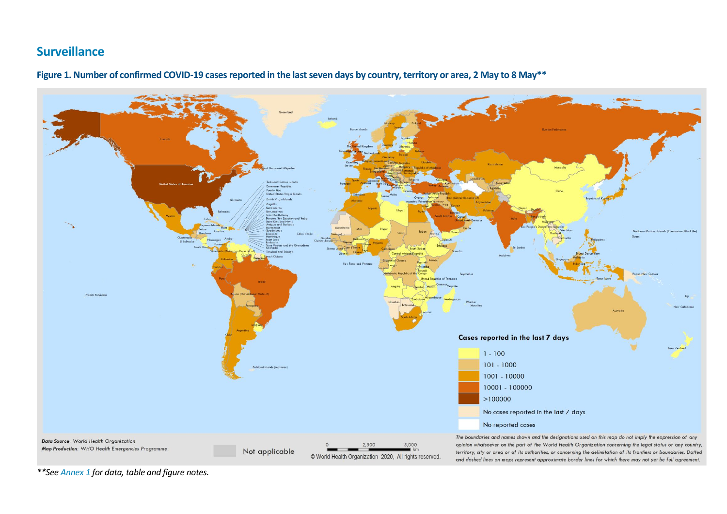#### **Surveillance**



**Figure 1. Number of confirmed COVID-19 cases reported in the last seven days by country, territory or area, 2 May to 8 May\*\***

*\*\*Se[e Annex 1](#page-16-0) for data, table and figure notes.*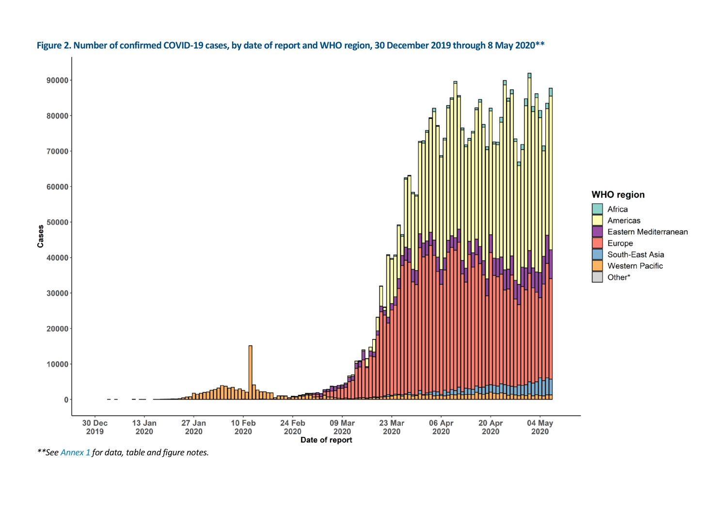

#### **Figure 2. Number of confirmed COVID-19 cases, by date of report and WHO region, 30 December 2019 through 8 May 2020\*\***

*\*\*Se[e Annex 1](#page-16-0) for data, table and figure notes.*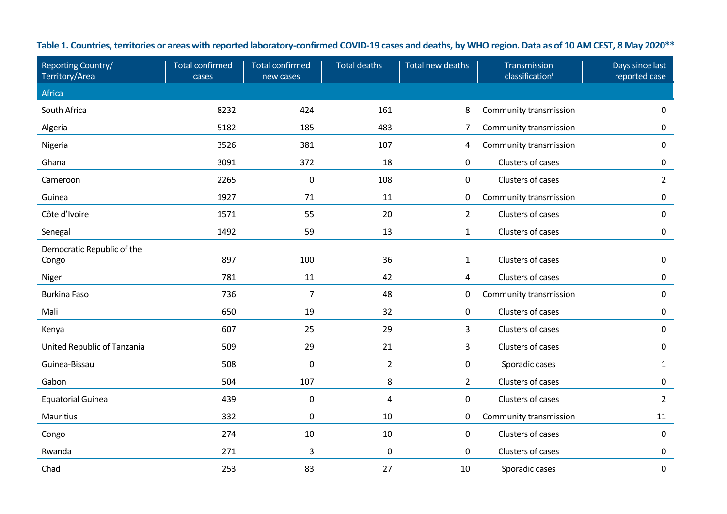| Reporting Country/<br>Territory/Area | <b>Total confirmed</b><br>cases | <b>Total confirmed</b><br>new cases | <b>Total deaths</b> | Total new deaths | Transmission<br>classification | Days since last<br>reported case |
|--------------------------------------|---------------------------------|-------------------------------------|---------------------|------------------|--------------------------------|----------------------------------|
| Africa                               |                                 |                                     |                     |                  |                                |                                  |
| South Africa                         | 8232                            | 424                                 | 161                 | 8                | Community transmission         | $\pmb{0}$                        |
| Algeria                              | 5182                            | 185                                 | 483                 | $\overline{7}$   | Community transmission         | $\pmb{0}$                        |
| Nigeria                              | 3526                            | 381                                 | 107                 | 4                | Community transmission         | $\mathbf 0$                      |
| Ghana                                | 3091                            | 372                                 | 18                  | 0                | Clusters of cases              | 0                                |
| Cameroon                             | 2265                            | $\pmb{0}$                           | 108                 | 0                | Clusters of cases              | $\overline{2}$                   |
| Guinea                               | 1927                            | 71                                  | 11                  | 0                | Community transmission         | 0                                |
| Côte d'Ivoire                        | 1571                            | 55                                  | 20                  | $\overline{2}$   | Clusters of cases              | $\pmb{0}$                        |
| Senegal                              | 1492                            | 59                                  | 13                  | $\mathbf{1}$     | Clusters of cases              | $\pmb{0}$                        |
| Democratic Republic of the<br>Congo  | 897                             | 100                                 | 36                  | $\mathbf{1}$     | Clusters of cases              | 0                                |
| Niger                                | 781                             | 11                                  | 42                  | 4                | Clusters of cases              | $\pmb{0}$                        |
| <b>Burkina Faso</b>                  | 736                             | $\overline{7}$                      | 48                  | 0                | Community transmission         | $\pmb{0}$                        |
| Mali                                 | 650                             | 19                                  | 32                  | $\mathbf 0$      | Clusters of cases              | $\pmb{0}$                        |
| Kenya                                | 607                             | 25                                  | 29                  | 3                | Clusters of cases              | 0                                |
| United Republic of Tanzania          | 509                             | 29                                  | 21                  | 3                | Clusters of cases              | $\boldsymbol{0}$                 |
| Guinea-Bissau                        | 508                             | $\pmb{0}$                           | $\overline{2}$      | 0                | Sporadic cases                 | $\mathbf{1}$                     |
| Gabon                                | 504                             | 107                                 | 8                   | $\overline{2}$   | Clusters of cases              | $\mathbf 0$                      |
| <b>Equatorial Guinea</b>             | 439                             | $\pmb{0}$                           | 4                   | 0                | Clusters of cases              | $\overline{2}$                   |
| <b>Mauritius</b>                     | 332                             | $\pmb{0}$                           | 10                  | 0                | Community transmission         | 11                               |
| Congo                                | 274                             | 10                                  | 10                  | 0                | Clusters of cases              | $\mathbf 0$                      |
| Rwanda                               | 271                             | 3                                   | $\pmb{0}$           | 0                | Clusters of cases              | 0                                |
| Chad                                 | 253                             | 83                                  | 27                  | 10               | Sporadic cases                 | $\pmb{0}$                        |

| Table 1. Countries, territories or areas with reported laboratory-confirmed COVID-19 cases and deaths, by WHO region. Data as of 10 AM CEST, 8 May 2020** |  |
|-----------------------------------------------------------------------------------------------------------------------------------------------------------|--|
|-----------------------------------------------------------------------------------------------------------------------------------------------------------|--|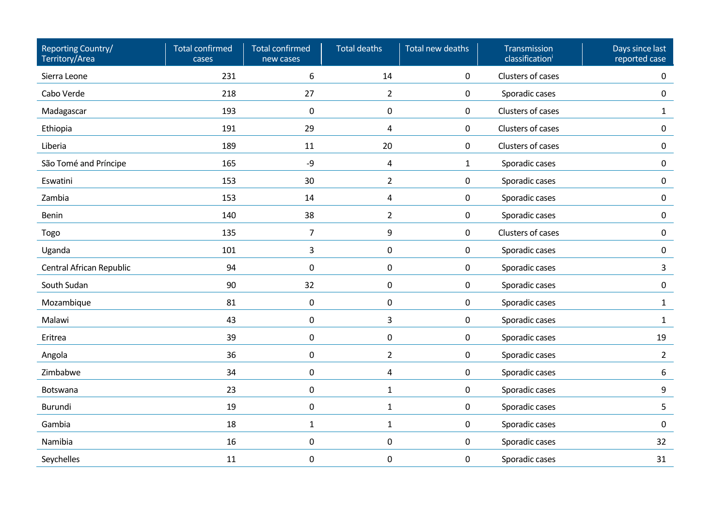| Reporting Country/<br>Territory/Area | <b>Total confirmed</b><br>cases | <b>Total confirmed</b><br>new cases | <b>Total deaths</b> | Total new deaths | Transmission<br>classification <sup>i</sup> | Days since last<br>reported case |
|--------------------------------------|---------------------------------|-------------------------------------|---------------------|------------------|---------------------------------------------|----------------------------------|
| Sierra Leone                         | 231                             | 6                                   | 14                  | $\mathbf 0$      | Clusters of cases                           | $\mathbf 0$                      |
| Cabo Verde                           | 218                             | 27                                  | $\overline{2}$      | 0                | Sporadic cases                              | $\mathbf 0$                      |
| Madagascar                           | 193                             | $\pmb{0}$                           | $\mathbf 0$         | $\mathbf 0$      | Clusters of cases                           | $\mathbf{1}$                     |
| Ethiopia                             | 191                             | 29                                  | 4                   | $\mathbf 0$      | Clusters of cases                           | $\mathbf 0$                      |
| Liberia                              | 189                             | 11                                  | 20                  | $\mathbf 0$      | Clusters of cases                           | $\mathbf 0$                      |
| São Tomé and Príncipe                | 165                             | -9                                  | $\overline{a}$      | $\mathbf{1}$     | Sporadic cases                              | $\mathbf 0$                      |
| Eswatini                             | 153                             | 30                                  | $\overline{2}$      | $\mathbf 0$      | Sporadic cases                              | $\mathbf 0$                      |
| Zambia                               | 153                             | 14                                  | 4                   | $\mathbf 0$      | Sporadic cases                              | $\mathbf 0$                      |
| Benin                                | 140                             | 38                                  | $\overline{2}$      | $\pmb{0}$        | Sporadic cases                              | $\mathbf 0$                      |
| Togo                                 | 135                             | $\overline{7}$                      | 9                   | $\pmb{0}$        | Clusters of cases                           | $\mathbf 0$                      |
| Uganda                               | 101                             | 3                                   | 0                   | $\pmb{0}$        | Sporadic cases                              | $\mathbf 0$                      |
| Central African Republic             | 94                              | $\pmb{0}$                           | $\pmb{0}$           | 0                | Sporadic cases                              | $\mathbf{3}$                     |
| South Sudan                          | 90                              | 32                                  | $\pmb{0}$           | 0                | Sporadic cases                              | $\mathbf 0$                      |
| Mozambique                           | 81                              | 0                                   | $\pmb{0}$           | 0                | Sporadic cases                              | $\mathbf{1}$                     |
| Malawi                               | 43                              | 0                                   | 3                   | 0                | Sporadic cases                              | $\mathbf{1}$                     |
| Eritrea                              | 39                              | $\pmb{0}$                           | $\pmb{0}$           | 0                | Sporadic cases                              | 19                               |
| Angola                               | 36                              | 0                                   | $\overline{2}$      | 0                | Sporadic cases                              | $\overline{2}$                   |
| Zimbabwe                             | 34                              | 0                                   | 4                   | 0                | Sporadic cases                              | 6                                |
| Botswana                             | 23                              | 0                                   | $\mathbf{1}$        | 0                | Sporadic cases                              | 9                                |
| Burundi                              | 19                              | 0                                   | $\mathbf{1}$        | 0                | Sporadic cases                              | 5                                |
| Gambia                               | 18                              | $\mathbf{1}$                        | $\mathbf{1}$        | $\pmb{0}$        | Sporadic cases                              | $\mathsf{O}\xspace$              |
| Namibia                              | 16                              | $\pmb{0}$                           | $\pmb{0}$           | $\pmb{0}$        | Sporadic cases                              | 32                               |
| Seychelles                           | 11                              | $\pmb{0}$                           | $\mathbf 0$         | 0                | Sporadic cases                              | 31                               |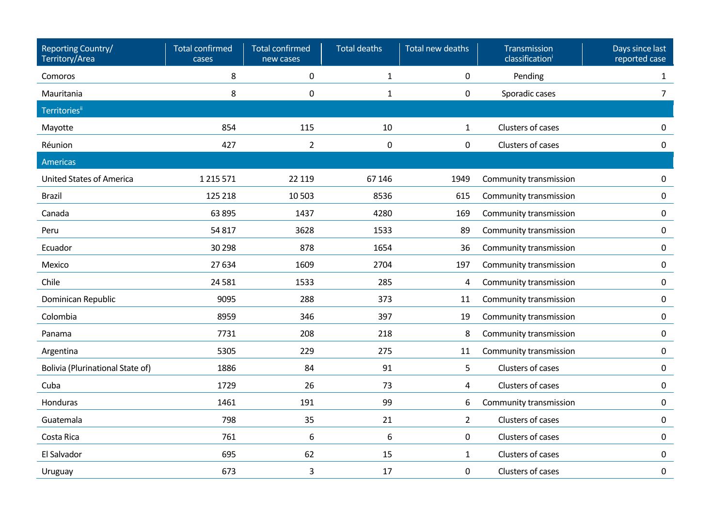| Reporting Country/<br>Territory/Area    | <b>Total confirmed</b><br>cases | <b>Total confirmed</b><br>new cases | <b>Total deaths</b> | Total new deaths | Transmission<br>classification | Days since last<br>reported case |
|-----------------------------------------|---------------------------------|-------------------------------------|---------------------|------------------|--------------------------------|----------------------------------|
| Comoros                                 | 8                               | 0                                   | $\mathbf{1}$        | 0                | Pending                        | 1                                |
| Mauritania                              | 8                               | 0                                   | $\mathbf{1}$        | 0                | Sporadic cases                 | 7 <sup>1</sup>                   |
| <b>Territories</b> ii                   |                                 |                                     |                     |                  |                                |                                  |
| Mayotte                                 | 854                             | 115                                 | 10                  | $\mathbf{1}$     | Clusters of cases              | $\pmb{0}$                        |
| Réunion                                 | 427                             | $\overline{2}$                      | $\mathbf 0$         | $\pmb{0}$        | Clusters of cases              | $\pmb{0}$                        |
| Americas                                |                                 |                                     |                     |                  |                                |                                  |
| <b>United States of America</b>         | 1 2 1 5 5 7 1                   | 22 119                              | 67 146              | 1949             | Community transmission         | $\pmb{0}$                        |
| <b>Brazil</b>                           | 125 218                         | 10 503                              | 8536                | 615              | Community transmission         | 0                                |
| Canada                                  | 63 895                          | 1437                                | 4280                | 169              | Community transmission         | 0                                |
| Peru                                    | 54817                           | 3628                                | 1533                | 89               | Community transmission         | 0                                |
| Ecuador                                 | 30 298                          | 878                                 | 1654                | 36               | Community transmission         | $\pmb{0}$                        |
| Mexico                                  | 27 634                          | 1609                                | 2704                | 197              | Community transmission         | 0                                |
| Chile                                   | 24 5 81                         | 1533                                | 285                 | 4                | Community transmission         | 0                                |
| Dominican Republic                      | 9095                            | 288                                 | 373                 | 11               | Community transmission         | $\pmb{0}$                        |
| Colombia                                | 8959                            | 346                                 | 397                 | 19               | Community transmission         | 0                                |
| Panama                                  | 7731                            | 208                                 | 218                 | 8                | Community transmission         | $\mathbf 0$                      |
| Argentina                               | 5305                            | 229                                 | 275                 | 11               | Community transmission         | $\mathbf 0$                      |
| <b>Bolivia (Plurinational State of)</b> | 1886                            | 84                                  | 91                  | 5                | Clusters of cases              | $\pmb{0}$                        |
| Cuba                                    | 1729                            | 26                                  | 73                  | $\overline{4}$   | Clusters of cases              | 0                                |
| Honduras                                | 1461                            | 191                                 | 99                  | 6                | Community transmission         | 0                                |
| Guatemala                               | 798                             | 35                                  | 21                  | $\overline{2}$   | Clusters of cases              | 0                                |
| Costa Rica                              | 761                             | 6                                   | 6                   | $\mathbf 0$      | Clusters of cases              | 0                                |
| El Salvador                             | 695                             | 62                                  | 15                  | $\mathbf{1}$     | Clusters of cases              | $\pmb{0}$                        |
| Uruguay                                 | 673                             | 3                                   | 17                  | 0                | Clusters of cases              | $\pmb{0}$                        |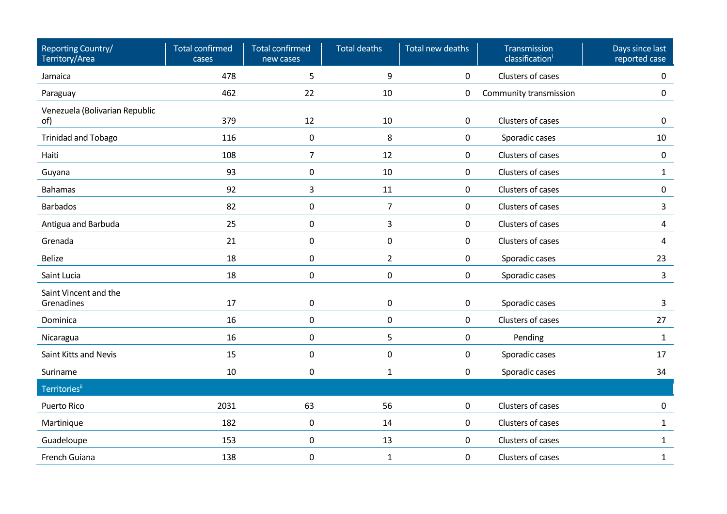| Reporting Country/<br>Territory/Area  | <b>Total confirmed</b><br>cases | <b>Total confirmed</b><br>new cases | <b>Total deaths</b> | Total new deaths | Transmission<br>classification <sup>i</sup> | Days since last<br>reported case |
|---------------------------------------|---------------------------------|-------------------------------------|---------------------|------------------|---------------------------------------------|----------------------------------|
| Jamaica                               | 478                             | 5                                   | 9                   | 0                | Clusters of cases                           | 0                                |
| Paraguay                              | 462                             | 22                                  | 10                  | 0                | Community transmission                      | $\pmb{0}$                        |
| Venezuela (Bolivarian Republic<br>of) | 379                             | 12                                  | 10                  | 0                | Clusters of cases                           | $\mathbf 0$                      |
| <b>Trinidad and Tobago</b>            | 116                             | $\boldsymbol{0}$                    | 8                   | 0                | Sporadic cases                              | 10                               |
| Haiti                                 | 108                             | $\overline{7}$                      | 12                  | 0                | Clusters of cases                           | $\pmb{0}$                        |
| Guyana                                | 93                              | $\mathbf 0$                         | 10                  | 0                | Clusters of cases                           | $\mathbf{1}$                     |
| <b>Bahamas</b>                        | 92                              | 3                                   | 11                  | $\pmb{0}$        | Clusters of cases                           | $\pmb{0}$                        |
| <b>Barbados</b>                       | 82                              | 0                                   | $\overline{7}$      | 0                | Clusters of cases                           | 3                                |
| Antigua and Barbuda                   | 25                              | $\mathbf 0$                         | 3                   | 0                | Clusters of cases                           | 4                                |
| Grenada                               | 21                              | $\boldsymbol{0}$                    | $\pmb{0}$           | 0                | Clusters of cases                           | 4                                |
| <b>Belize</b>                         | 18                              | $\mathsf 0$                         | $\overline{2}$      | 0                | Sporadic cases                              | 23                               |
| Saint Lucia                           | 18                              | 0                                   | $\pmb{0}$           | 0                | Sporadic cases                              | 3                                |
| Saint Vincent and the<br>Grenadines   | 17                              | $\mathsf 0$                         | $\pmb{0}$           | 0                | Sporadic cases                              | 3                                |
| Dominica                              | 16                              | 0                                   | $\pmb{0}$           | 0                | Clusters of cases                           | 27                               |
| Nicaragua                             | 16                              | $\mathsf 0$                         | 5                   | 0                | Pending                                     | $\mathbf{1}$                     |
| Saint Kitts and Nevis                 | 15                              | 0                                   | $\pmb{0}$           | 0                | Sporadic cases                              | 17                               |
| Suriname                              | 10                              | $\mathsf 0$                         | $\mathbf{1}$        | 0                | Sporadic cases                              | 34                               |
| <b>Territories</b> ii                 |                                 |                                     |                     |                  |                                             |                                  |
| <b>Puerto Rico</b>                    | 2031                            | 63                                  | 56                  | $\mathbf 0$      | Clusters of cases                           | $\pmb{0}$                        |
| Martinique                            | 182                             | $\boldsymbol{0}$                    | 14                  | 0                | Clusters of cases                           | $\mathbf{1}$                     |
| Guadeloupe                            | 153                             | $\pmb{0}$                           | 13                  | 0                | Clusters of cases                           | $\mathbf{1}$                     |
| French Guiana                         | 138                             | 0                                   | $\mathbf{1}$        | 0                | Clusters of cases                           | $\mathbf{1}$                     |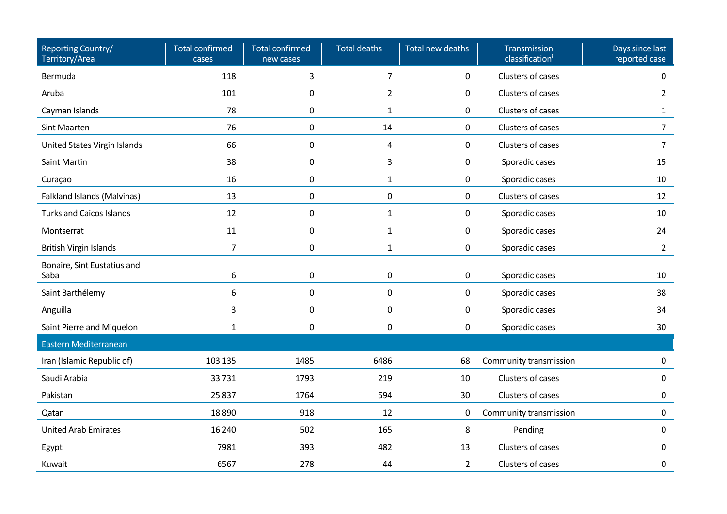| Reporting Country/<br>Territory/Area | <b>Total confirmed</b><br>cases | <b>Total confirmed</b><br>new cases | <b>Total deaths</b> | Total new deaths | Transmission<br>classification | Days since last<br>reported case |
|--------------------------------------|---------------------------------|-------------------------------------|---------------------|------------------|--------------------------------|----------------------------------|
| Bermuda                              | 118                             | 3                                   | $\overline{7}$      | 0                | Clusters of cases              | 0                                |
| Aruba                                | 101                             | 0                                   | $\overline{2}$      | 0                | Clusters of cases              | $\overline{2}$                   |
| Cayman Islands                       | 78                              | $\pmb{0}$                           | $\mathbf{1}$        | 0                | Clusters of cases              | $\mathbf{1}$                     |
| <b>Sint Maarten</b>                  | 76                              | 0                                   | 14                  | 0                | Clusters of cases              | 7                                |
| United States Virgin Islands         | 66                              | $\mathbf 0$                         | 4                   | 0                | Clusters of cases              | $\overline{7}$                   |
| Saint Martin                         | 38                              | 0                                   | 3                   | 0                | Sporadic cases                 | 15                               |
| Curaçao                              | 16                              | $\mathbf 0$                         | $\mathbf{1}$        | 0                | Sporadic cases                 | 10                               |
| <b>Falkland Islands (Malvinas)</b>   | 13                              | $\mathbf 0$                         | $\mathbf 0$         | 0                | Clusters of cases              | 12                               |
| <b>Turks and Caicos Islands</b>      | 12                              | $\mathbf 0$                         | $\mathbf{1}$        | 0                | Sporadic cases                 | 10                               |
| Montserrat                           | 11                              | 0                                   | $\mathbf{1}$        | 0                | Sporadic cases                 | 24                               |
| <b>British Virgin Islands</b>        | $\overline{7}$                  | $\pmb{0}$                           | $\mathbf{1}$        | 0                | Sporadic cases                 | $\overline{2}$                   |
| Bonaire, Sint Eustatius and<br>Saba  | 6                               | $\mathbf 0$                         | $\mathsf 0$         | 0                | Sporadic cases                 | 10                               |
| Saint Barthélemy                     | 6                               | $\boldsymbol{0}$                    | $\mathsf 0$         | 0                | Sporadic cases                 | 38                               |
| Anguilla                             | 3                               | $\mathbf 0$                         | $\mathbf 0$         | 0                | Sporadic cases                 | 34                               |
| Saint Pierre and Miquelon            | $\mathbf{1}$                    | $\pmb{0}$                           | $\mathbf 0$         | 0                | Sporadic cases                 | 30                               |
| Eastern Mediterranean                |                                 |                                     |                     |                  |                                |                                  |
| Iran (Islamic Republic of)           | 103 135                         | 1485                                | 6486                | 68               | Community transmission         | 0                                |
| Saudi Arabia                         | 33731                           | 1793                                | 219                 | 10               | Clusters of cases              | 0                                |
| Pakistan                             | 25 8 37                         | 1764                                | 594                 | 30               | Clusters of cases              | 0                                |
| Qatar                                | 18890                           | 918                                 | 12                  | 0                | Community transmission         | 0                                |
| <b>United Arab Emirates</b>          | 16 240                          | 502                                 | 165                 | 8                | Pending                        | 0                                |
| Egypt                                | 7981                            | 393                                 | 482                 | 13               | Clusters of cases              | 0                                |
| Kuwait                               | 6567                            | 278                                 | 44                  | $\overline{2}$   | Clusters of cases              | 0                                |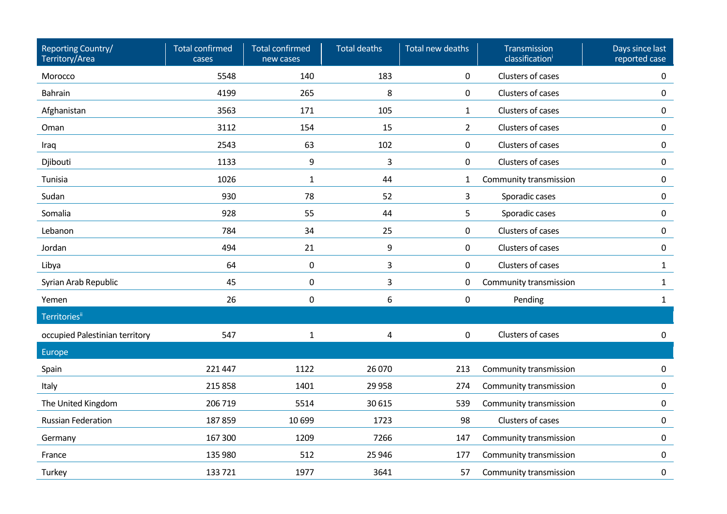| Reporting Country/<br>Territory/Area | <b>Total confirmed</b><br>cases | <b>Total confirmed</b><br>new cases | <b>Total deaths</b> | Total new deaths | Transmission<br>classification | Days since last<br>reported case |
|--------------------------------------|---------------------------------|-------------------------------------|---------------------|------------------|--------------------------------|----------------------------------|
| Morocco                              | 5548                            | 140                                 | 183                 | 0                | Clusters of cases              | 0                                |
| <b>Bahrain</b>                       | 4199                            | 265                                 | 8                   | 0                | Clusters of cases              | 0                                |
| Afghanistan                          | 3563                            | 171                                 | 105                 | $\mathbf{1}$     | Clusters of cases              | 0                                |
| Oman                                 | 3112                            | 154                                 | 15                  | $\overline{2}$   | Clusters of cases              | 0                                |
| Iraq                                 | 2543                            | 63                                  | 102                 | 0                | Clusters of cases              | 0                                |
| Djibouti                             | 1133                            | 9                                   | 3                   | 0                | Clusters of cases              | 0                                |
| Tunisia                              | 1026                            | $\mathbf{1}$                        | 44                  | 1                | Community transmission         | 0                                |
| Sudan                                | 930                             | 78                                  | 52                  | 3                | Sporadic cases                 | 0                                |
| Somalia                              | 928                             | 55                                  | 44                  | 5                | Sporadic cases                 | 0                                |
| Lebanon                              | 784                             | 34                                  | 25                  | 0                | Clusters of cases              | 0                                |
| Jordan                               | 494                             | 21                                  | 9                   | 0                | Clusters of cases              | 0                                |
| Libya                                | 64                              | $\pmb{0}$                           | 3                   | 0                | Clusters of cases              | $\mathbf{1}$                     |
| Syrian Arab Republic                 | 45                              | 0                                   | 3                   | 0                | Community transmission         | $\mathbf{1}$                     |
| Yemen                                | 26                              | $\mathbf 0$                         | 6                   | $\mathbf 0$      | Pending                        | $\mathbf{1}$                     |
| <b>Territories</b> ii                |                                 |                                     |                     |                  |                                |                                  |
| occupied Palestinian territory       | 547                             | $\mathbf{1}$                        | 4                   | 0                | Clusters of cases              | $\mathbf{0}$                     |
| Europe                               |                                 |                                     |                     |                  |                                |                                  |
| Spain                                | 221 447                         | 1122                                | 26 070              | 213              | Community transmission         | 0                                |
| Italy                                | 215858                          | 1401                                | 29 9 58             | 274              | Community transmission         | 0                                |
| The United Kingdom                   | 206 719                         | 5514                                | 30 615              | 539              | Community transmission         | $\pmb{0}$                        |
| <b>Russian Federation</b>            | 187859                          | 10 699                              | 1723                | 98               | Clusters of cases              | $\mathbf 0$                      |
| Germany                              | 167 300                         | 1209                                | 7266                | 147              | Community transmission         | 0                                |
| France                               | 135 980                         | 512                                 | 25 946              | 177              | Community transmission         | 0                                |
| Turkey                               | 133721                          | 1977                                | 3641                | 57               | Community transmission         | 0                                |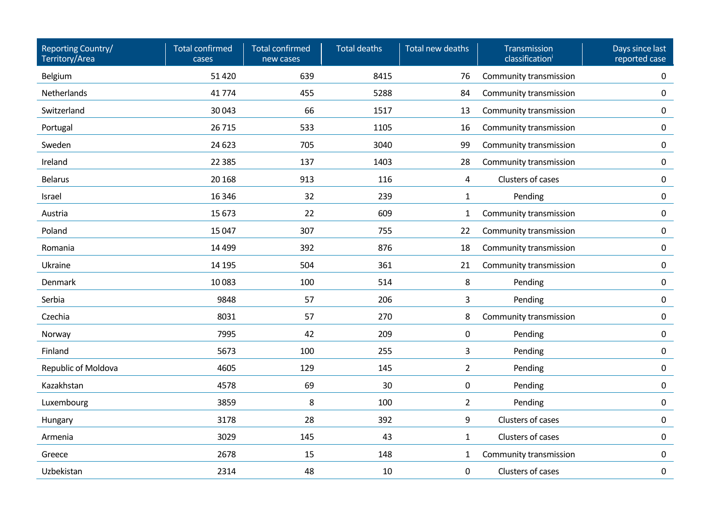| Reporting Country/<br>Territory/Area | <b>Total confirmed</b><br>cases | <b>Total confirmed</b><br>new cases | <b>Total deaths</b> | Total new deaths | Transmission<br>classification <sup>i</sup> | Days since last<br>reported case |
|--------------------------------------|---------------------------------|-------------------------------------|---------------------|------------------|---------------------------------------------|----------------------------------|
| Belgium                              | 51 4 20                         | 639                                 | 8415                | 76               | Community transmission                      | 0                                |
| Netherlands                          | 41774                           | 455                                 | 5288                | 84               | Community transmission                      | $\mathbf 0$                      |
| Switzerland                          | 30043                           | 66                                  | 1517                | 13               | Community transmission                      | $\mathbf 0$                      |
| Portugal                             | 26715                           | 533                                 | 1105                | 16               | Community transmission                      | $\mathbf 0$                      |
| Sweden                               | 24 6 23                         | 705                                 | 3040                | 99               | Community transmission                      | $\mathbf 0$                      |
| Ireland                              | 22 3 85                         | 137                                 | 1403                | 28               | Community transmission                      | $\mathbf 0$                      |
| <b>Belarus</b>                       | 20 16 8                         | 913                                 | 116                 | $\overline{4}$   | Clusters of cases                           | $\mathbf 0$                      |
| Israel                               | 16 3 46                         | 32                                  | 239                 | $\mathbf{1}$     | Pending                                     | $\mathbf 0$                      |
| Austria                              | 15 673                          | 22                                  | 609                 | $\mathbf{1}$     | Community transmission                      | $\mathbf 0$                      |
| Poland                               | 15 047                          | 307                                 | 755                 | 22               | Community transmission                      | $\mathbf 0$                      |
| Romania                              | 14 4 99                         | 392                                 | 876                 | 18               | Community transmission                      | $\mathbf 0$                      |
| Ukraine                              | 14 195                          | 504                                 | 361                 | 21               | Community transmission                      | $\mathsf{O}\xspace$              |
| Denmark                              | 10083                           | 100                                 | 514                 | 8                | Pending                                     | $\mathbf 0$                      |
| Serbia                               | 9848                            | 57                                  | 206                 | 3                | Pending                                     | $\mathbf 0$                      |
| Czechia                              | 8031                            | 57                                  | 270                 | 8                | Community transmission                      | 0                                |
| Norway                               | 7995                            | 42                                  | 209                 | 0                | Pending                                     | $\mathbf 0$                      |
| Finland                              | 5673                            | 100                                 | 255                 | 3                | Pending                                     | $\mathbf 0$                      |
| Republic of Moldova                  | 4605                            | 129                                 | 145                 | $\overline{2}$   | Pending                                     | $\mathbf 0$                      |
| Kazakhstan                           | 4578                            | 69                                  | 30                  | 0                | Pending                                     | $\mathbf 0$                      |
| Luxembourg                           | 3859                            | 8                                   | 100                 | $\overline{2}$   | Pending                                     | $\mathsf{O}\xspace$              |
| Hungary                              | 3178                            | 28                                  | 392                 | 9                | Clusters of cases                           | $\mathbf 0$                      |
| Armenia                              | 3029                            | 145                                 | 43                  | $\mathbf{1}$     | Clusters of cases                           | $\pmb{0}$                        |
| Greece                               | 2678                            | 15                                  | 148                 | $\mathbf{1}$     | Community transmission                      | $\mathbf 0$                      |
| Uzbekistan                           | 2314                            | 48                                  | 10                  | 0                | Clusters of cases                           | $\pmb{0}$                        |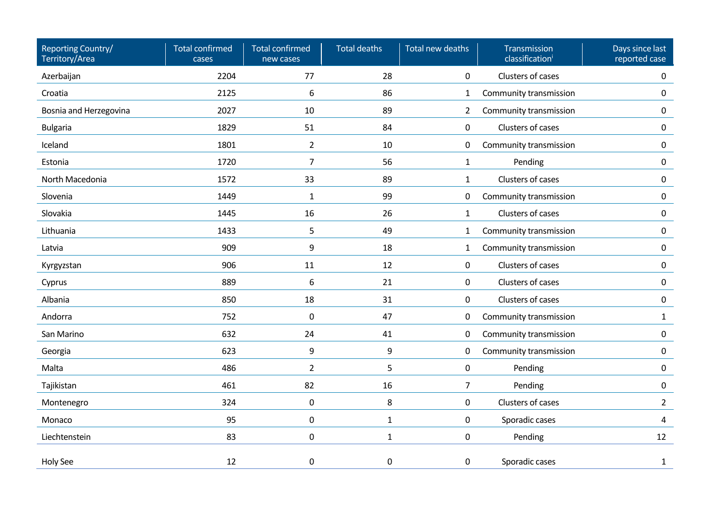| Reporting Country/<br>Territory/Area | <b>Total confirmed</b><br>cases | <b>Total confirmed</b><br>new cases | <b>Total deaths</b> | Total new deaths | Transmission<br>classification <sup>i</sup> | Days since last<br>reported case |
|--------------------------------------|---------------------------------|-------------------------------------|---------------------|------------------|---------------------------------------------|----------------------------------|
| Azerbaijan                           | 2204                            | 77                                  | 28                  | 0                | Clusters of cases                           | 0                                |
| Croatia                              | 2125                            | 6                                   | 86                  | $\mathbf{1}$     | Community transmission                      | 0                                |
| Bosnia and Herzegovina               | 2027                            | 10                                  | 89                  | $\overline{2}$   | Community transmission                      | 0                                |
| <b>Bulgaria</b>                      | 1829                            | 51                                  | 84                  | $\mathbf 0$      | Clusters of cases                           | 0                                |
| Iceland                              | 1801                            | $\overline{2}$                      | 10                  | 0                | Community transmission                      | 0                                |
| Estonia                              | 1720                            | $\overline{7}$                      | 56                  | $\mathbf{1}$     | Pending                                     | 0                                |
| North Macedonia                      | 1572                            | 33                                  | 89                  | $\mathbf{1}$     | Clusters of cases                           | 0                                |
| Slovenia                             | 1449                            | $\mathbf{1}$                        | 99                  | $\mathbf 0$      | Community transmission                      | 0                                |
| Slovakia                             | 1445                            | 16                                  | 26                  | $\mathbf{1}$     | Clusters of cases                           | 0                                |
| Lithuania                            | 1433                            | 5                                   | 49                  | $\mathbf{1}$     | Community transmission                      | 0                                |
| Latvia                               | 909                             | 9                                   | 18                  | $\mathbf{1}$     | Community transmission                      | 0                                |
| Kyrgyzstan                           | 906                             | 11                                  | 12                  | 0                | Clusters of cases                           | 0                                |
| Cyprus                               | 889                             | 6                                   | 21                  | 0                | Clusters of cases                           | 0                                |
| Albania                              | 850                             | 18                                  | 31                  | $\mathbf 0$      | Clusters of cases                           | 0                                |
| Andorra                              | 752                             | 0                                   | 47                  | $\mathbf 0$      | Community transmission                      | $\mathbf{1}$                     |
| San Marino                           | 632                             | 24                                  | 41                  | $\mathbf 0$      | Community transmission                      | 0                                |
| Georgia                              | 623                             | 9                                   | 9                   | 0                | Community transmission                      | 0                                |
| Malta                                | 486                             | $\overline{2}$                      | 5                   | $\mathbf 0$      | Pending                                     | 0                                |
| Tajikistan                           | 461                             | 82                                  | 16                  | $\overline{7}$   | Pending                                     | 0                                |
| Montenegro                           | 324                             | 0                                   | 8                   | $\mathbf 0$      | Clusters of cases                           | $2^{\circ}$                      |
| Monaco                               | 95                              | $\mathbf 0$                         | $\mathbf{1}$        | $\pmb{0}$        | Sporadic cases                              | 4                                |
| Liechtenstein                        | 83                              | $\mathbf 0$                         | $\mathbf{1}$        | $\pmb{0}$        | Pending                                     | 12                               |
| <b>Holy See</b>                      | 12                              | 0                                   | 0                   | $\mathbf 0$      | Sporadic cases                              | 1                                |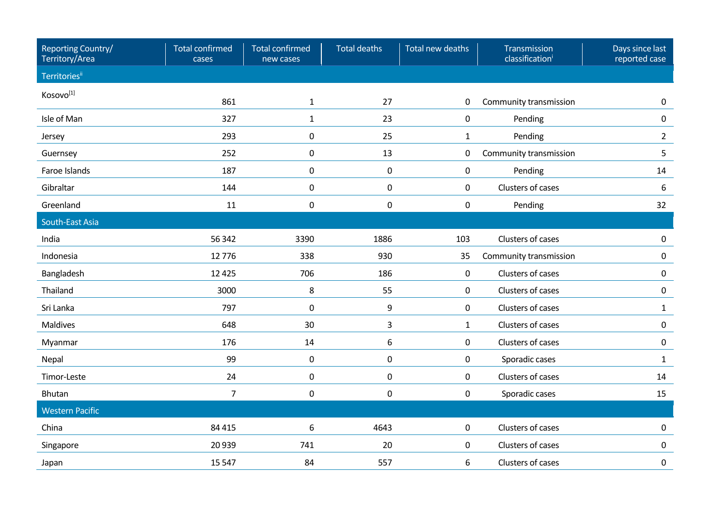| Reporting Country/<br>Territory/Area | <b>Total confirmed</b><br>cases | Total confirmed<br>new cases | <b>Total deaths</b> | Total new deaths    | Transmission<br>classification | Days since last<br>reported case |
|--------------------------------------|---------------------------------|------------------------------|---------------------|---------------------|--------------------------------|----------------------------------|
| <b>Territories</b> ii                |                                 |                              |                     |                     |                                |                                  |
| Kosovo <sup>[1]</sup>                | 861                             | $1\,$                        | 27                  | 0                   | Community transmission         | $\mathbf{0}$                     |
| Isle of Man                          | 327                             | $\mathbf{1}$                 | 23                  | $\mathsf{O}\xspace$ | Pending                        | $\mathbf 0$                      |
| Jersey                               | 293                             | $\pmb{0}$                    | 25                  | $\mathbf 1$         | Pending                        | $\overline{2}$                   |
| Guernsey                             | 252                             | $\pmb{0}$                    | 13                  | 0                   | Community transmission         | 5                                |
| Faroe Islands                        | 187                             | $\mathbf 0$                  | $\pmb{0}$           | $\mathsf{O}\xspace$ | Pending                        | 14                               |
| Gibraltar                            | 144                             | $\pmb{0}$                    | 0                   | 0                   | Clusters of cases              | 6                                |
| Greenland                            | 11                              | 0                            | 0                   | $\mathbf 0$         | Pending                        | 32                               |
| South-East Asia                      |                                 |                              |                     |                     |                                |                                  |
| India                                | 56 342                          | 3390                         | 1886                | 103                 | Clusters of cases              | $\Omega$                         |
| Indonesia                            | 12776                           | 338                          | 930                 | 35                  | Community transmission         | $\mathbf{0}$                     |
| Bangladesh                           | 12 4 25                         | 706                          | 186                 | $\mathbf 0$         | Clusters of cases              | $\Omega$                         |
| Thailand                             | 3000                            | 8                            | 55                  | $\mathbf 0$         | Clusters of cases              | $\mathbf 0$                      |
| Sri Lanka                            | 797                             | 0                            | 9                   | $\mathsf{O}$        | Clusters of cases              | 1                                |
| <b>Maldives</b>                      | 648                             | 30                           | 3                   | $\mathbf{1}$        | Clusters of cases              | $\mathbf 0$                      |
| Myanmar                              | 176                             | 14                           | 6                   | $\mathbf 0$         | Clusters of cases              | $\mathbf 0$                      |
| Nepal                                | 99                              | $\pmb{0}$                    | $\pmb{0}$           | $\mathbf 0$         | Sporadic cases                 | $\mathbf{1}$                     |
| Timor-Leste                          | 24                              | 0                            | 0                   | $\mathbf 0$         | Clusters of cases              | 14                               |
| Bhutan                               | $\overline{7}$                  | 0                            | 0                   | 0                   | Sporadic cases                 | 15                               |
| <b>Western Pacific</b>               |                                 |                              |                     |                     |                                |                                  |
| China                                | 84 4 15                         | 6                            | 4643                | 0                   | Clusters of cases              | $\Omega$                         |
| Singapore                            | 20 9 39                         | 741                          | 20                  | $\mathbf 0$         | Clusters of cases              | $\mathbf{0}$                     |
| Japan                                | 15 5 47                         | 84                           | 557                 | 6                   | Clusters of cases              | $\mathbf 0$                      |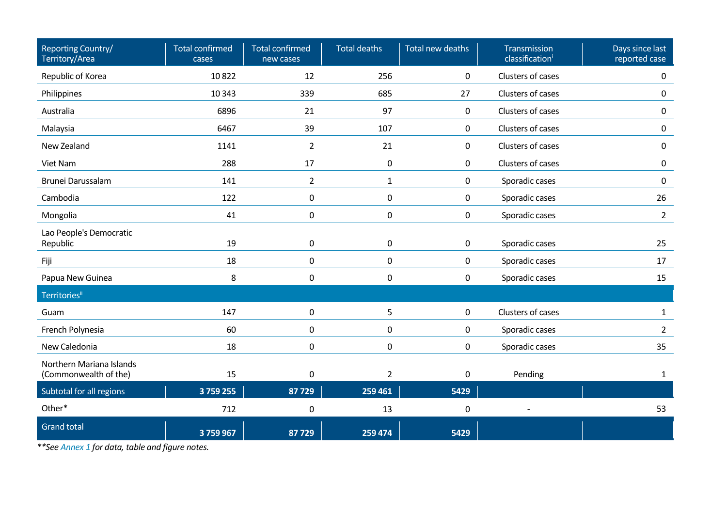| Reporting Country/<br>Territory/Area              | <b>Total confirmed</b><br>cases | <b>Total confirmed</b><br>new cases | <b>Total deaths</b> | Total new deaths    | Transmission<br>classification <sup>i</sup> | Days since last<br>reported case |
|---------------------------------------------------|---------------------------------|-------------------------------------|---------------------|---------------------|---------------------------------------------|----------------------------------|
| Republic of Korea                                 | 10822                           | 12                                  | 256                 | 0                   | Clusters of cases                           | 0                                |
| Philippines                                       | 10 3 43                         | 339                                 | 685                 | 27                  | Clusters of cases                           | 0                                |
| Australia                                         | 6896                            | 21                                  | 97                  | $\mathbf 0$         | Clusters of cases                           | 0                                |
| Malaysia                                          | 6467                            | 39                                  | 107                 | $\mathbf 0$         | Clusters of cases                           | 0                                |
| New Zealand                                       | 1141                            | $\overline{2}$                      | 21                  | $\mathbf 0$         | Clusters of cases                           | 0                                |
| Viet Nam                                          | 288                             | 17                                  | $\pmb{0}$           | $\mathbf 0$         | Clusters of cases                           | 0                                |
| Brunei Darussalam                                 | 141                             | $2^{\circ}$                         | $\mathbf{1}$        | $\mathbf 0$         | Sporadic cases                              | 0                                |
| Cambodia                                          | 122                             | 0                                   | $\mathbf 0$         | $\mathbf 0$         | Sporadic cases                              | 26                               |
| Mongolia                                          | 41                              | 0                                   | $\pmb{0}$           | $\mathbf 0$         | Sporadic cases                              | $2^{\circ}$                      |
| Lao People's Democratic<br>Republic               | 19                              | 0                                   | $\pmb{0}$           | $\mathsf{O}\xspace$ | Sporadic cases                              | 25                               |
| Fiji                                              | 18                              | 0                                   | 0                   | $\mathbf 0$         | Sporadic cases                              | 17                               |
| Papua New Guinea                                  | 8                               | 0                                   | 0                   | $\mathbf 0$         | Sporadic cases                              | 15                               |
| <b>Territories</b> ii                             |                                 |                                     |                     |                     |                                             |                                  |
| Guam                                              | 147                             | 0                                   | 5                   | $\mathbf 0$         | Clusters of cases                           | $\mathbf{1}$                     |
| French Polynesia                                  | 60                              | 0                                   | $\pmb{0}$           | $\mathbf 0$         | Sporadic cases                              | $\overline{2}$                   |
| New Caledonia                                     | 18                              | 0                                   | 0                   | $\mathbf 0$         | Sporadic cases                              | 35                               |
| Northern Mariana Islands<br>(Commonwealth of the) | 15                              | 0                                   | $\overline{2}$      | $\pmb{0}$           | Pending                                     | $\mathbf{1}$                     |
| Subtotal for all regions                          | 3759255                         | 87729                               | 259 461             | 5429                |                                             |                                  |
| Other*                                            | 712                             | 0                                   | 13                  | $\pmb{0}$           |                                             | 53                               |
| <b>Grand total</b>                                | 3759967                         | 87729                               | 259 474             | 5429                |                                             |                                  |

*\*\*Se[e Annex 1](#page-16-0) for data, table and figure notes.*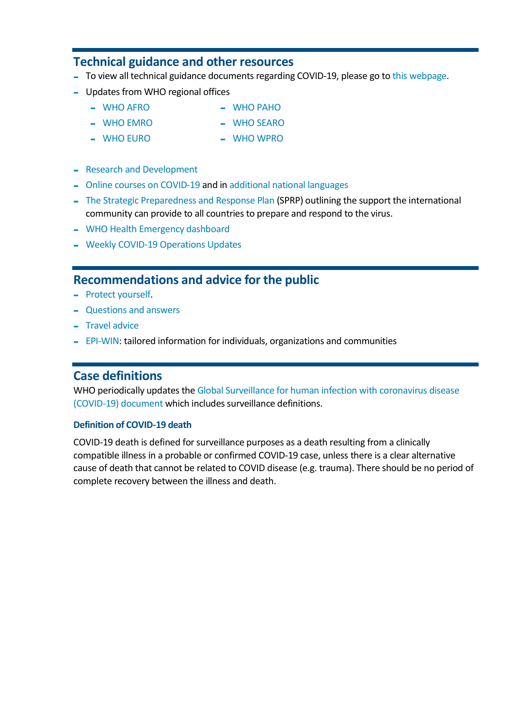## **Technical guidance and other resources**

- To view all technical guidance documents regarding COVID-19, please go t[o this webpage.](https://www.who.int/emergencies/diseases/novel-coronavirus-2019/technical-guidance)
- Updates from WHO regional offices
	- [WHO AFRO](https://www.afro.who.int/health-topics/coronavirus-covid-19) [WHO PAHO](https://www.paho.org/en/topics/coronavirus-infections/coronavirus-disease-covid-19)
	- [WHO EMRO](http://www.emro.who.int/health-topics/corona-virus/index.html) [WHO SEARO](https://www.who.int/southeastasia/outbreaks-and-emergencies/novel-coronavirus-2019)
		-
	- [WHO EURO](http://www.euro.who.int/en/health-topics/health-emergencies/coronavirus-covid-19) [WHO WPRO](https://www.who.int/westernpacific/emergencies/covid-19)
- [Research and Development](https://www.who.int/emergencies/diseases/novel-coronavirus-2019/global-research-on-novel-coronavirus-2019-ncov)
- [Online courses on COVID-19](https://openwho.org/channels/covid-19) and in [additional national languages](https://openwho.org/channels/covid-19-national-languages)
- [The Strategic Preparedness and Response Plan](https://www.who.int/publications-detail/strategic-preparedness-and-response-plan-for-the-new-coronavirus) (SPRP) outlining the support the international community can provide to all countries to prepare and respond to the virus.
- [WHO Health Emergency dashboard](https://who.sprinklr.com/)
- [Weekly COVID-19 Operations Updates](https://www.who.int/emergencies/diseases/novel-coronavirus-2019/strategies-plans-and-operations)

#### **Recommendations and advice for the public**

- [Protect yourself.](https://www.who.int/emergencies/diseases/novel-coronavirus-2019/advice-for-public)
- [Questions and answers](https://www.who.int/news-room/q-a-detail/q-a-coronaviruses)
- [Travel advice](https://www.who.int/emergencies/diseases/novel-coronavirus-2019/travel-advice)
- [EPI-WIN:](https://www.who.int/teams/risk-communication) tailored information for individuals, organizations and communities

#### **Case definitions**

WHO periodically updates th[e Global Surveillance for human infection with coronavirus disease](https://www.who.int/publications-detail/global-surveillance-for-human-infection-with-novel-coronavirus-(2019-ncov))  [\(COVID-19\)](https://www.who.int/publications-detail/global-surveillance-for-human-infection-with-novel-coronavirus-(2019-ncov)) document which includes surveillance definitions.

#### **Definition of COVID-19 death**

COVID-19 death is defined for surveillance purposes as a death resulting from a clinically compatible illness in a probable or confirmed COVID-19 case, unless there is a clear alternative cause of death that cannot be related to COVID disease (e.g. trauma). There should be no period of complete recovery between the illness and death.